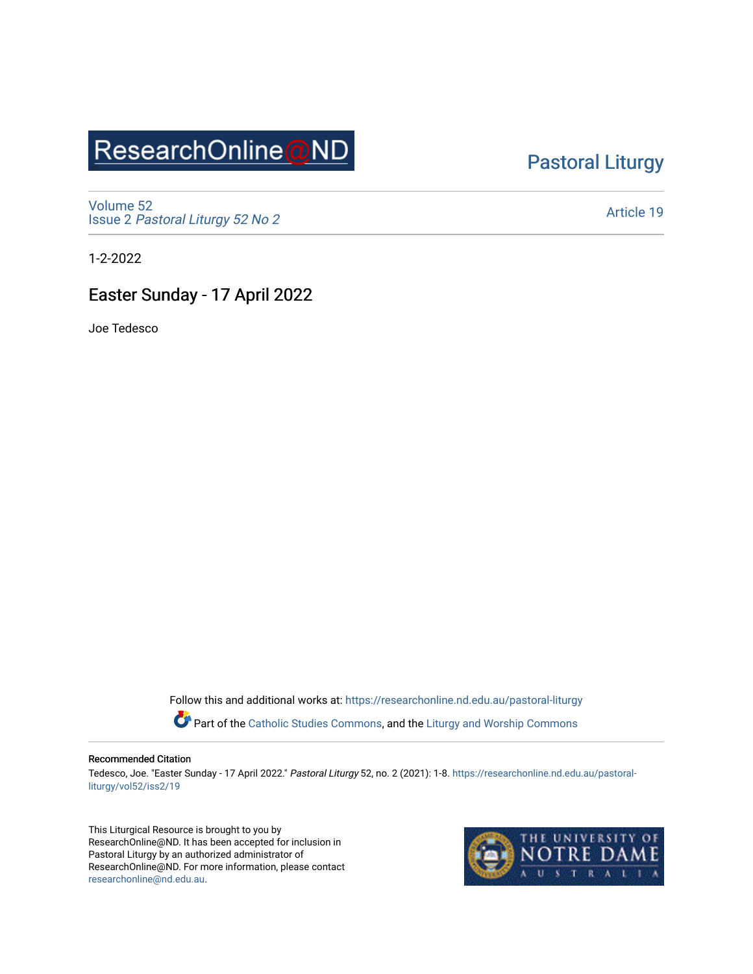# ResearchOnline@ND

### [Pastoral Liturgy](https://researchonline.nd.edu.au/pastoral-liturgy)

[Volume 52](https://researchonline.nd.edu.au/pastoral-liturgy/vol52) Issue 2 [Pastoral Liturgy 52 No 2](https://researchonline.nd.edu.au/pastoral-liturgy/vol52/iss2)

[Article 19](https://researchonline.nd.edu.au/pastoral-liturgy/vol52/iss2/19) 

1-2-2022

### Easter Sunday - 17 April 2022

Joe Tedesco

Follow this and additional works at: [https://researchonline.nd.edu.au/pastoral-liturgy](https://researchonline.nd.edu.au/pastoral-liturgy?utm_source=researchonline.nd.edu.au%2Fpastoral-liturgy%2Fvol52%2Fiss2%2F19&utm_medium=PDF&utm_campaign=PDFCoverPages)

Part of the [Catholic Studies Commons,](http://network.bepress.com/hgg/discipline/1294?utm_source=researchonline.nd.edu.au%2Fpastoral-liturgy%2Fvol52%2Fiss2%2F19&utm_medium=PDF&utm_campaign=PDFCoverPages) and the Liturgy and Worship Commons

#### Recommended Citation

Tedesco, Joe. "Easter Sunday - 17 April 2022." Pastoral Liturgy 52, no. 2 (2021): 1-8. [https://researchonline.nd.edu.au/pastoral](https://researchonline.nd.edu.au/pastoral-liturgy/vol52/iss2/19?utm_source=researchonline.nd.edu.au%2Fpastoral-liturgy%2Fvol52%2Fiss2%2F19&utm_medium=PDF&utm_campaign=PDFCoverPages)[liturgy/vol52/iss2/19](https://researchonline.nd.edu.au/pastoral-liturgy/vol52/iss2/19?utm_source=researchonline.nd.edu.au%2Fpastoral-liturgy%2Fvol52%2Fiss2%2F19&utm_medium=PDF&utm_campaign=PDFCoverPages) 

This Liturgical Resource is brought to you by ResearchOnline@ND. It has been accepted for inclusion in Pastoral Liturgy by an authorized administrator of ResearchOnline@ND. For more information, please contact [researchonline@nd.edu.au.](mailto:researchonline@nd.edu.au)

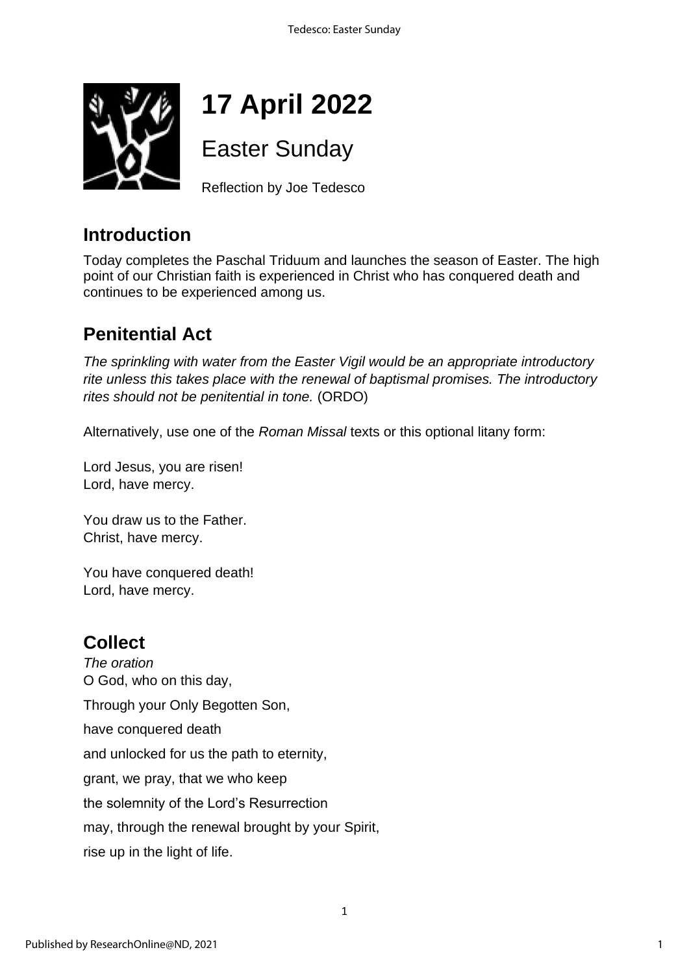

# **17 April 2022**

Easter Sunday

Reflection by Joe Tedesco

## **Introduction**

Today completes the Paschal Triduum and launches the season of Easter. The high point of our Christian faith is experienced in Christ who has conquered death and continues to be experienced among us.

# **Penitential Act**

*The sprinkling with water from the Easter Vigil would be an appropriate introductory rite unless this takes place with the renewal of baptismal promises. The introductory rites should not be penitential in tone.* (ORDO)

Alternatively, use one of the *Roman Missal* texts or this optional litany form:

Lord Jesus, you are risen! Lord, have mercy.

You draw us to the Father. Christ, have mercy.

You have conquered death! Lord, have mercy.

### **Collect**

*The oration* O God, who on this day, Through your Only Begotten Son, have conquered death and unlocked for us the path to eternity, grant, we pray, that we who keep the solemnity of the Lord's Resurrection may, through the renewal brought by your Spirit, rise up in the light of life.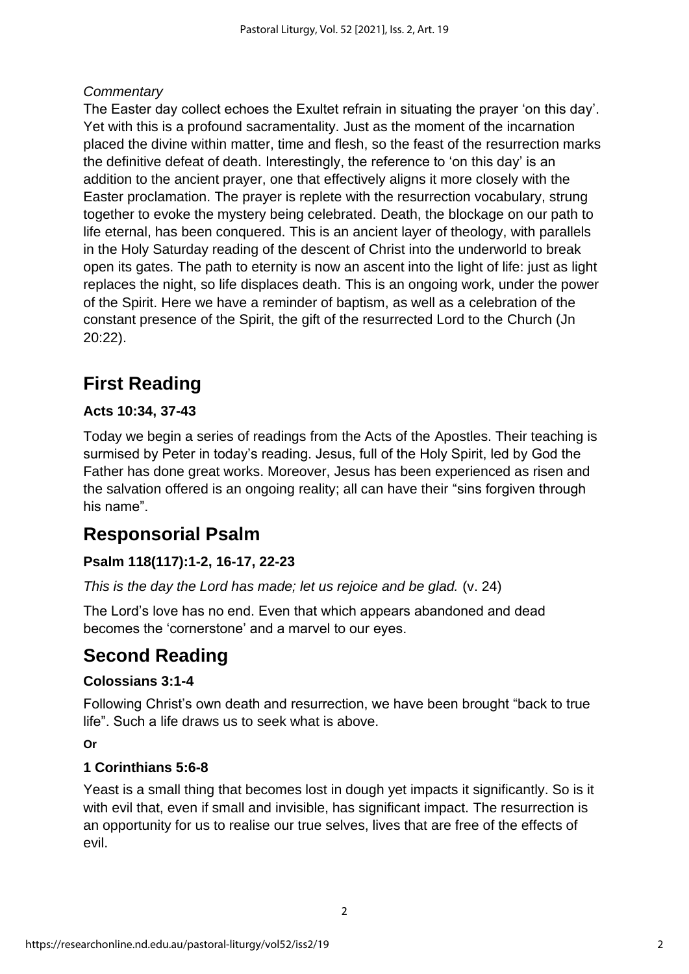### *Commentary*

The Easter day collect echoes the Exultet refrain in situating the prayer 'on this day'. Yet with this is a profound sacramentality. Just as the moment of the incarnation placed the divine within matter, time and flesh, so the feast of the resurrection marks the definitive defeat of death. Interestingly, the reference to 'on this day' is an addition to the ancient prayer, one that effectively aligns it more closely with the Easter proclamation. The prayer is replete with the resurrection vocabulary, strung together to evoke the mystery being celebrated. Death, the blockage on our path to life eternal, has been conquered. This is an ancient layer of theology, with parallels in the Holy Saturday reading of the descent of Christ into the underworld to break open its gates. The path to eternity is now an ascent into the light of life: just as light replaces the night, so life displaces death. This is an ongoing work, under the power of the Spirit. Here we have a reminder of baptism, as well as a celebration of the constant presence of the Spirit, the gift of the resurrected Lord to the Church (Jn 20:22).

# **First Reading**

### **Acts 10:34, 37-43**

Today we begin a series of readings from the Acts of the Apostles. Their teaching is surmised by Peter in today's reading. Jesus, full of the Holy Spirit, led by God the Father has done great works. Moreover, Jesus has been experienced as risen and the salvation offered is an ongoing reality; all can have their "sins forgiven through his name".

### **Responsorial Psalm**

### **Psalm 118(117):1-2, 16-17, 22-23**

*This is the day the Lord has made; let us rejoice and be glad.* (v. 24)

The Lord's love has no end. Even that which appears abandoned and dead becomes the 'cornerstone' and a marvel to our eyes.

### **Second Reading**

### **Colossians 3:1-4**

Following Christ's own death and resurrection, we have been brought "back to true life". Such a life draws us to seek what is above.

**Or**

### **1 Corinthians 5:6-8**

Yeast is a small thing that becomes lost in dough yet impacts it significantly. So is it with evil that, even if small and invisible, has significant impact. The resurrection is an opportunity for us to realise our true selves, lives that are free of the effects of evil.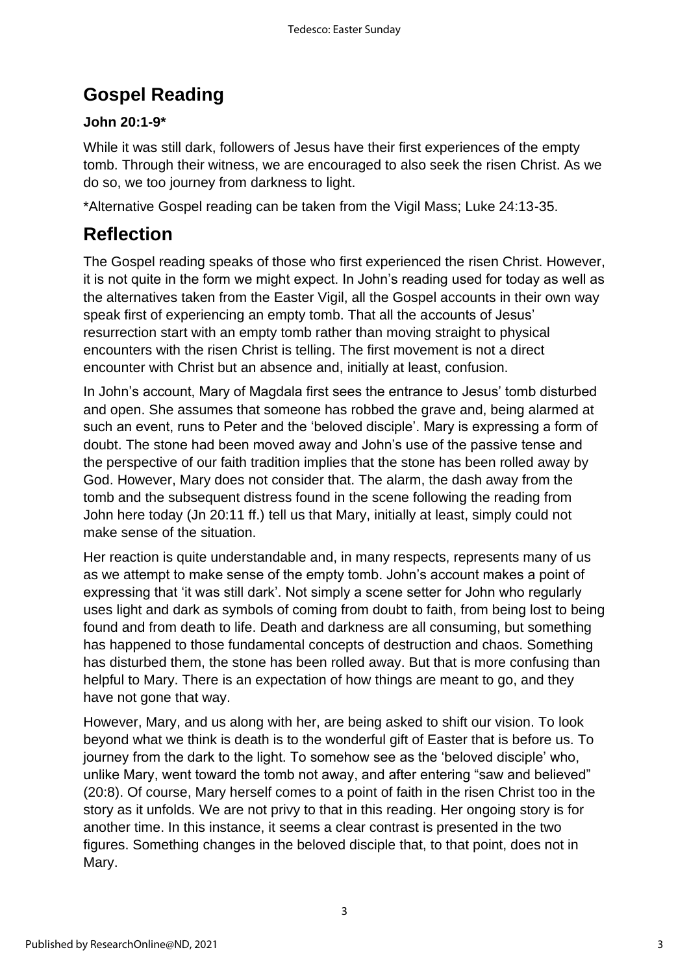# **Gospel Reading**

### **John 20:1-9\***

While it was still dark, followers of Jesus have their first experiences of the empty tomb. Through their witness, we are encouraged to also seek the risen Christ. As we do so, we too journey from darkness to light.

\*Alternative Gospel reading can be taken from the Vigil Mass; Luke 24:13-35.

# **Reflection**

The Gospel reading speaks of those who first experienced the risen Christ. However, it is not quite in the form we might expect. In John's reading used for today as well as the alternatives taken from the Easter Vigil, all the Gospel accounts in their own way speak first of experiencing an empty tomb. That all the accounts of Jesus' resurrection start with an empty tomb rather than moving straight to physical encounters with the risen Christ is telling. The first movement is not a direct encounter with Christ but an absence and, initially at least, confusion.

In John's account, Mary of Magdala first sees the entrance to Jesus' tomb disturbed and open. She assumes that someone has robbed the grave and, being alarmed at such an event, runs to Peter and the 'beloved disciple'. Mary is expressing a form of doubt. The stone had been moved away and John's use of the passive tense and the perspective of our faith tradition implies that the stone has been rolled away by God. However, Mary does not consider that. The alarm, the dash away from the tomb and the subsequent distress found in the scene following the reading from John here today (Jn 20:11 ff.) tell us that Mary, initially at least, simply could not make sense of the situation.

Her reaction is quite understandable and, in many respects, represents many of us as we attempt to make sense of the empty tomb. John's account makes a point of expressing that 'it was still dark'. Not simply a scene setter for John who regularly uses light and dark as symbols of coming from doubt to faith, from being lost to being found and from death to life. Death and darkness are all consuming, but something has happened to those fundamental concepts of destruction and chaos. Something has disturbed them, the stone has been rolled away. But that is more confusing than helpful to Mary. There is an expectation of how things are meant to go, and they have not gone that way.

However, Mary, and us along with her, are being asked to shift our vision. To look beyond what we think is death is to the wonderful gift of Easter that is before us. To journey from the dark to the light. To somehow see as the 'beloved disciple' who, unlike Mary, went toward the tomb not away, and after entering "saw and believed" (20:8). Of course, Mary herself comes to a point of faith in the risen Christ too in the story as it unfolds. We are not privy to that in this reading. Her ongoing story is for another time. In this instance, it seems a clear contrast is presented in the two figures. Something changes in the beloved disciple that, to that point, does not in Mary.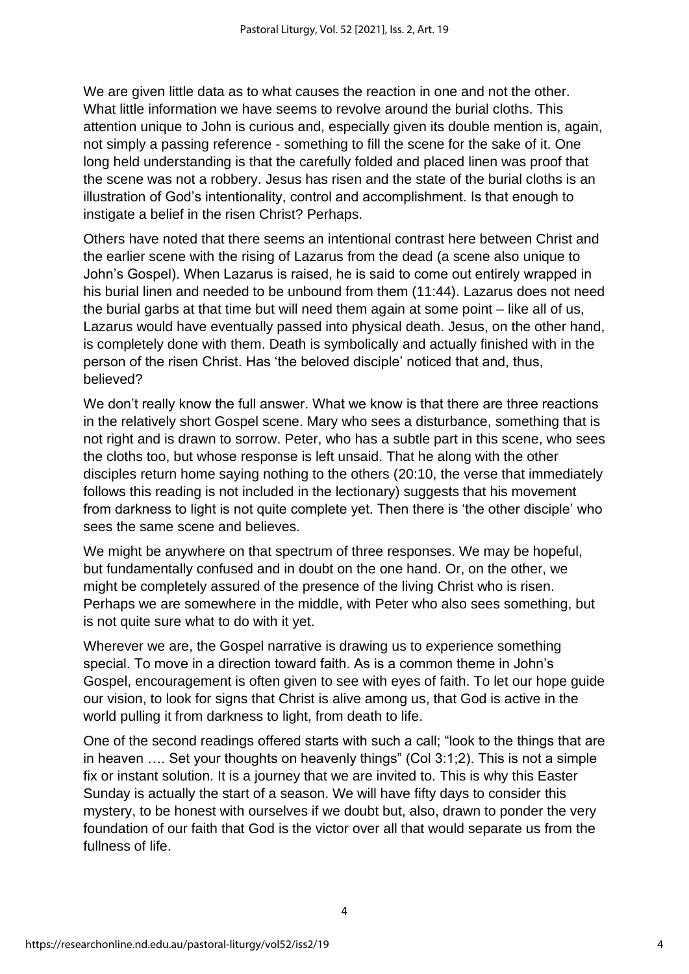We are given little data as to what causes the reaction in one and not the other. What little information we have seems to revolve around the burial cloths. This attention unique to John is curious and, especially given its double mention is, again, not simply a passing reference - something to fill the scene for the sake of it. One long held understanding is that the carefully folded and placed linen was proof that the scene was not a robbery. Jesus has risen and the state of the burial cloths is an illustration of God's intentionality, control and accomplishment. Is that enough to instigate a belief in the risen Christ? Perhaps.

Others have noted that there seems an intentional contrast here between Christ and the earlier scene with the rising of Lazarus from the dead (a scene also unique to John's Gospel). When Lazarus is raised, he is said to come out entirely wrapped in his burial linen and needed to be unbound from them (11:44). Lazarus does not need the burial garbs at that time but will need them again at some point – like all of us, Lazarus would have eventually passed into physical death. Jesus, on the other hand, is completely done with them. Death is symbolically and actually finished with in the person of the risen Christ. Has 'the beloved disciple' noticed that and, thus, believed?

We don't really know the full answer. What we know is that there are three reactions in the relatively short Gospel scene. Mary who sees a disturbance, something that is not right and is drawn to sorrow. Peter, who has a subtle part in this scene, who sees the cloths too, but whose response is left unsaid. That he along with the other disciples return home saying nothing to the others (20:10, the verse that immediately follows this reading is not included in the lectionary) suggests that his movement from darkness to light is not quite complete yet. Then there is 'the other disciple' who sees the same scene and believes.

We might be anywhere on that spectrum of three responses. We may be hopeful, but fundamentally confused and in doubt on the one hand. Or, on the other, we might be completely assured of the presence of the living Christ who is risen. Perhaps we are somewhere in the middle, with Peter who also sees something, but is not quite sure what to do with it yet.

Wherever we are, the Gospel narrative is drawing us to experience something special. To move in a direction toward faith. As is a common theme in John's Gospel, encouragement is often given to see with eyes of faith. To let our hope guide our vision, to look for signs that Christ is alive among us, that God is active in the world pulling it from darkness to light, from death to life.

One of the second readings offered starts with such a call; "look to the things that are in heaven …. Set your thoughts on heavenly things" (Col 3:1;2). This is not a simple fix or instant solution. It is a journey that we are invited to. This is why this Easter Sunday is actually the start of a season. We will have fifty days to consider this mystery, to be honest with ourselves if we doubt but, also, drawn to ponder the very foundation of our faith that God is the victor over all that would separate us from the fullness of life.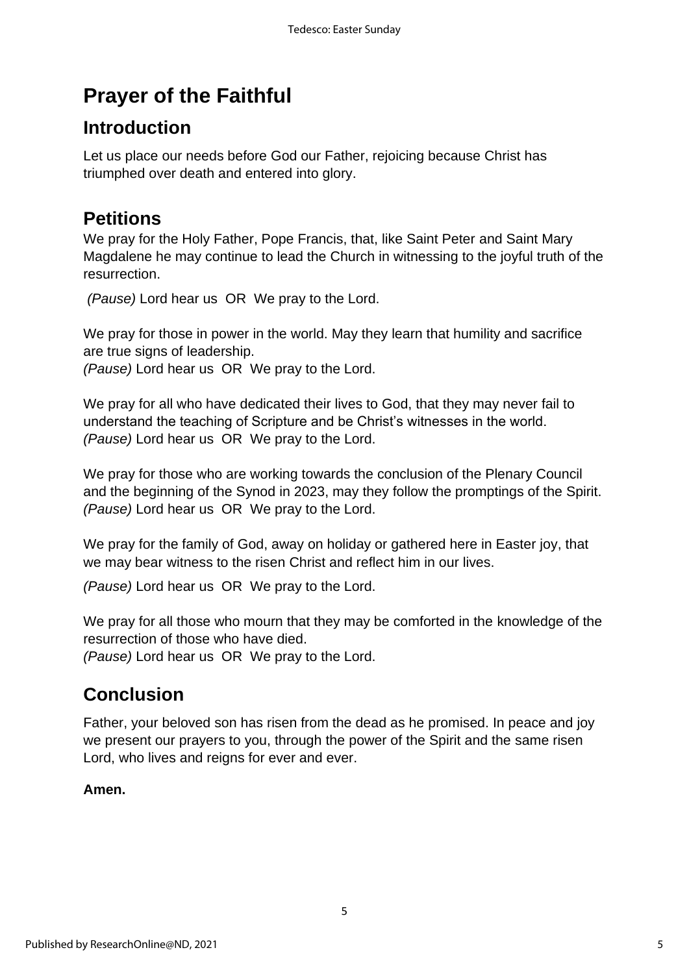# **Prayer of the Faithful**

### **Introduction**

Let us place our needs before God our Father, rejoicing because Christ has triumphed over death and entered into glory.

### **Petitions**

We pray for the Holy Father, Pope Francis, that, like Saint Peter and Saint Mary Magdalene he may continue to lead the Church in witnessing to the joyful truth of the resurrection.

*(Pause)* Lord hear us OR We pray to the Lord.

We pray for those in power in the world. May they learn that humility and sacrifice are true signs of leadership.

*(Pause)* Lord hear us OR We pray to the Lord.

We pray for all who have dedicated their lives to God, that they may never fail to understand the teaching of Scripture and be Christ's witnesses in the world. *(Pause)* Lord hear us OR We pray to the Lord.

We pray for those who are working towards the conclusion of the Plenary Council and the beginning of the Synod in 2023, may they follow the promptings of the Spirit. *(Pause)* Lord hear us OR We pray to the Lord.

We pray for the family of God, away on holiday or gathered here in Easter joy, that we may bear witness to the risen Christ and reflect him in our lives.

*(Pause)* Lord hear us OR We pray to the Lord.

We pray for all those who mourn that they may be comforted in the knowledge of the resurrection of those who have died.

*(Pause)* Lord hear us OR We pray to the Lord.

# **Conclusion**

Father, your beloved son has risen from the dead as he promised. In peace and joy we present our prayers to you, through the power of the Spirit and the same risen Lord, who lives and reigns for ever and ever.

### **Amen.**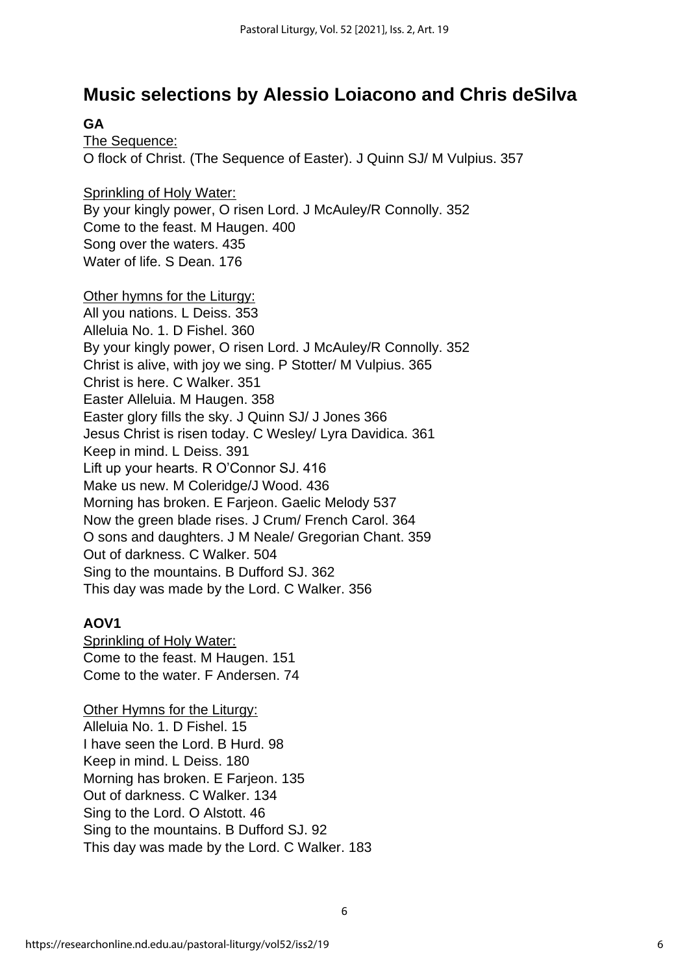### **Music selections by Alessio Loiacono and Chris deSilva**

**GA**

The Sequence: O flock of Christ. (The Sequence of Easter). J Quinn SJ/ M Vulpius. 357

Sprinkling of Holy Water: By your kingly power, O risen Lord. J McAuley/R Connolly. 352 Come to the feast. M Haugen. 400 Song over the waters. 435 Water of life. S Dean. 176

Other hymns for the Liturgy: All you nations. L Deiss. 353 Alleluia No. 1. D Fishel. 360 By your kingly power, O risen Lord. J McAuley/R Connolly. 352 Christ is alive, with joy we sing. P Stotter/ M Vulpius. 365 Christ is here. C Walker. 351 Easter Alleluia. M Haugen. 358 Easter glory fills the sky. J Quinn SJ/ J Jones 366 Jesus Christ is risen today. C Wesley/ Lyra Davidica. 361 Keep in mind. L Deiss. 391 Lift up your hearts. R O'Connor SJ. 416 Make us new. M Coleridge/J Wood. 436 Morning has broken. E Farjeon. Gaelic Melody 537 Now the green blade rises. J Crum/ French Carol. 364 O sons and daughters. J M Neale/ Gregorian Chant. 359 Out of darkness. C Walker. 504 Sing to the mountains. B Dufford SJ. 362 This day was made by the Lord. C Walker. 356

#### **AOV1**

Sprinkling of Holy Water: Come to the feast. M Haugen. 151 Come to the water. F Andersen. 74

Other Hymns for the Liturgy: Alleluia No. 1. D Fishel. 15 I have seen the Lord. B Hurd. 98 Keep in mind. L Deiss. 180 Morning has broken. E Farjeon. 135 Out of darkness. C Walker. 134 Sing to the Lord. O Alstott. 46 Sing to the mountains. B Dufford SJ. 92 This day was made by the Lord. C Walker. 183

6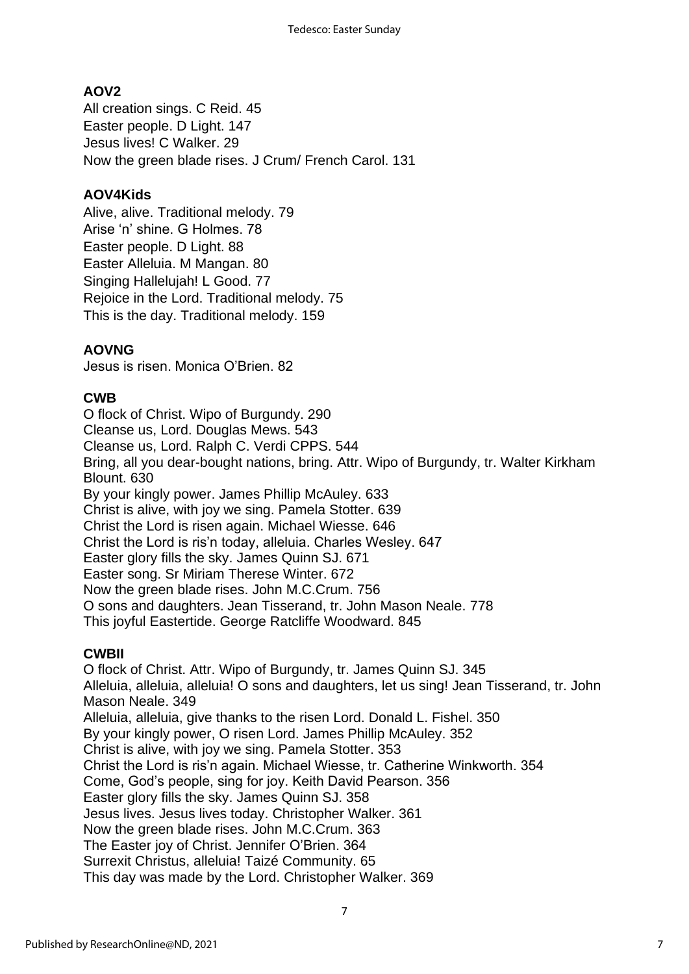### **AOV2**

All creation sings. C Reid. 45 Easter people. D Light. 147 Jesus lives! C Walker. 29 Now the green blade rises. J Crum/ French Carol. 131

#### **AOV4Kids**

Alive, alive. Traditional melody. 79 Arise 'n' shine. G Holmes. 78 Easter people. D Light. 88 Easter Alleluia. M Mangan. 80 Singing Hallelujah! L Good. 77 Rejoice in the Lord. Traditional melody. 75 This is the day. Traditional melody. 159

#### **AOVNG**

Jesus is risen. Monica O'Brien. 82

### **CWB**

O flock of Christ. Wipo of Burgundy. 290 Cleanse us, Lord. Douglas Mews. 543 Cleanse us, Lord. Ralph C. Verdi CPPS. 544 Bring, all you dear-bought nations, bring. Attr. Wipo of Burgundy, tr. Walter Kirkham Blount. 630 By your kingly power. James Phillip McAuley. 633 Christ is alive, with joy we sing. Pamela Stotter. 639 Christ the Lord is risen again. Michael Wiesse. 646 Christ the Lord is ris'n today, alleluia. Charles Wesley. 647 Easter glory fills the sky. James Quinn SJ. 671 Easter song. Sr Miriam Therese Winter. 672 Now the green blade rises. John M.C.Crum. 756 O sons and daughters. Jean Tisserand, tr. John Mason Neale. 778 This joyful Eastertide. George Ratcliffe Woodward. 845

#### **CWBII**

O flock of Christ. Attr. Wipo of Burgundy, tr. James Quinn SJ. 345 Alleluia, alleluia, alleluia! O sons and daughters, let us sing! Jean Tisserand, tr. John Mason Neale. 349 Alleluia, alleluia, give thanks to the risen Lord. Donald L. Fishel. 350 By your kingly power, O risen Lord. James Phillip McAuley. 352 Christ is alive, with joy we sing. Pamela Stotter. 353 Christ the Lord is ris'n again. Michael Wiesse, tr. Catherine Winkworth. 354 Come, God's people, sing for joy. Keith David Pearson. 356 Easter glory fills the sky. James Quinn SJ. 358 Jesus lives. Jesus lives today. Christopher Walker. 361 Now the green blade rises. John M.C.Crum. 363 The Easter joy of Christ. Jennifer O'Brien. 364 Surrexit Christus, alleluia! Taizé Community. 65 This day was made by the Lord. Christopher Walker. 369